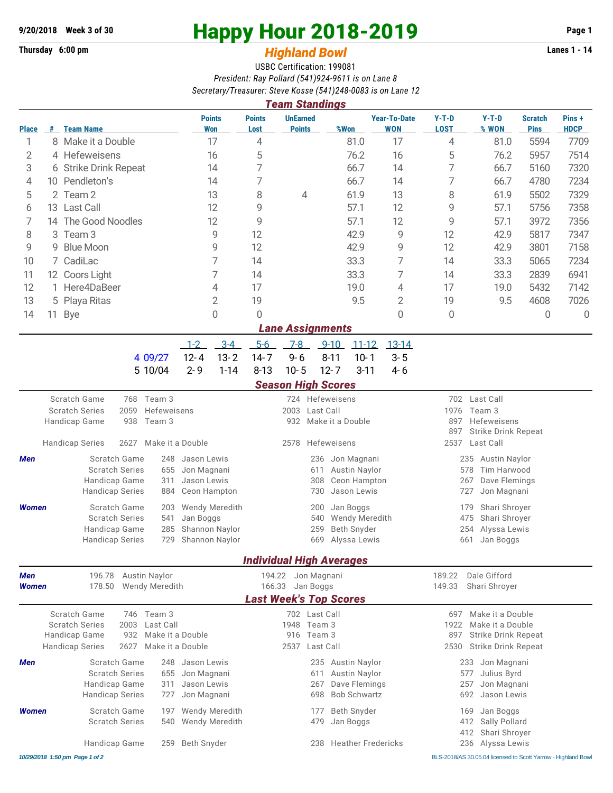## **Thursday 6:00 pm** *Highland Bowl*

## **9/20/2018** Week 3 of 30<br>
Thursday 6:00 pm<br> **Happy Hour 2018-2019 Page 1**<br> **Highland Rowl**

## USBC Certification: 199081 *President: Ray Pollard (541)924-9611 is on Lane 8 Secretary/Treasurer: Steve Kosse (541)248-0083 is on Lane 12*

| <b>Team Standings</b> |                        |                                                       |                                                               |                             |                                                   |                        |                                              |                                  |            |                 |                         |                                   |                                                               |                                                 |                               |                      |  |  |
|-----------------------|------------------------|-------------------------------------------------------|---------------------------------------------------------------|-----------------------------|---------------------------------------------------|------------------------|----------------------------------------------|----------------------------------|------------|-----------------|-------------------------|-----------------------------------|---------------------------------------------------------------|-------------------------------------------------|-------------------------------|----------------------|--|--|
| <b>Place</b>          |                        | # Team Name                                           |                                                               |                             |                                                   | <b>Points</b><br>Won   | <b>Points</b><br>Lost                        | <b>UnEarned</b><br><b>Points</b> |            | %Won            |                         | <b>Year-To-Date</b><br><b>WON</b> | $Y-T-D$<br><b>LOST</b>                                        | $Y-T-D$<br>% WON                                | <b>Scratch</b><br><b>Pins</b> | Pins+<br><b>HDCP</b> |  |  |
| 1                     |                        | 8 Make it a Double                                    |                                                               |                             | 17                                                | 4                      |                                              |                                  |            | 81.0            | 17                      | 4                                 | 81.0                                                          | 5594                                            | 7709                          |                      |  |  |
| 2                     |                        | 4 Hefeweisens                                         |                                                               |                             |                                                   | 16                     | 5                                            |                                  |            |                 | 76.2                    | 16                                | 5                                                             | 76.2                                            | 5957                          | 7514                 |  |  |
| 3                     |                        | 6 Strike Drink Repeat                                 |                                                               |                             |                                                   | 14                     | 7                                            |                                  |            |                 | 66.7                    | 14                                | 7                                                             | 66.7                                            | 5160                          | 7320                 |  |  |
| 4                     |                        | 10 Pendleton's                                        |                                                               |                             |                                                   | 14                     | 7                                            |                                  |            |                 | 66.7                    | 14                                | 7                                                             | 66.7                                            | 4780                          | 7234                 |  |  |
| 5                     |                        | 2 Team 2                                              |                                                               |                             |                                                   | 13                     | 8                                            | 4                                |            |                 | 61.9                    | 13                                | 8                                                             | 61.9                                            | 5502                          | 7329                 |  |  |
| 6                     | 13 Last Call           |                                                       |                                                               |                             | 12                                                | 9                      |                                              |                                  |            | 57.1            | 12                      | 9                                 | 57.1                                                          | 5756                                            | 7358                          |                      |  |  |
| 7                     | The Good Noodles<br>14 |                                                       |                                                               |                             | 12                                                | 9                      |                                              |                                  |            | 57.1            | 12                      | 9                                 | 57.1                                                          | 3972                                            | 7356                          |                      |  |  |
| 8                     | 3                      | Team <sub>3</sub>                                     |                                                               |                             |                                                   | 9                      | 12                                           |                                  |            |                 | 42.9                    | 9                                 | 12                                                            | 42.9                                            | 5817                          | 7347                 |  |  |
| 9                     | 9                      | <b>Blue Moon</b>                                      |                                                               |                             |                                                   | 9                      | 12                                           |                                  |            |                 | 42.9                    | 9                                 | 12                                                            | 42.9                                            | 3801                          | 7158                 |  |  |
| 10                    | 7 CadiLac              |                                                       |                                                               |                             |                                                   | 7                      | 14                                           |                                  |            |                 | 33.3                    | 7                                 | 14                                                            | 33.3                                            | 5065                          | 7234                 |  |  |
| 11                    | 12 Coors Light         |                                                       |                                                               |                             |                                                   | 7                      | 14                                           |                                  | 33.3       |                 |                         | 7                                 | 14                                                            | 33.3                                            | 2839                          | 6941                 |  |  |
| 12                    | 1 Here4DaBeer          |                                                       |                                                               |                             | 4                                                 | 17                     |                                              |                                  |            | 19.0            | 4                       | 17                                | 19.0                                                          | 5432                                            | 7142                          |                      |  |  |
| 13                    | 5 Playa Ritas          |                                                       | $\mathbf 2$                                                   |                             | 19                                                |                        |                                              |                                  | 9.5        | 2               | 19                      | 9.5                               | 4608                                                          | 7026                                            |                               |                      |  |  |
| 14                    | 11                     | <b>Bye</b>                                            |                                                               |                             |                                                   | $\Omega$               | 0                                            |                                  |            |                 |                         | 0                                 | 0                                                             |                                                 | 0                             | 0                    |  |  |
|                       |                        |                                                       |                                                               |                             |                                                   |                        |                                              | <b>Lane Assignments</b>          |            |                 |                         |                                   |                                                               |                                                 |                               |                      |  |  |
|                       |                        |                                                       |                                                               |                             | $-1-2$                                            | $3-4$                  | $5-6$                                        | $7-8$                            |            | $9 - 10$        | $11 - 12$               | $13 - 14$                         |                                                               |                                                 |                               |                      |  |  |
|                       |                        |                                                       |                                                               | 4 09/27                     | $12 - 4$                                          | $13 - 2$               | $14 - 7$                                     | $9 - 6$                          |            | $8 - 11$        | $10 - 1$                | $3 - 5$                           |                                                               |                                                 |                               |                      |  |  |
|                       |                        |                                                       |                                                               | 5 10/04                     | $2 - 9$                                           | $1 - 14$               | $8 - 13$                                     | $10 - 5$                         |            | $12 - 7$        | $3 - 11$                | $4 - 6$                           |                                                               |                                                 |                               |                      |  |  |
|                       |                        |                                                       |                                                               |                             |                                                   |                        |                                              | <b>Season High Scores</b>        |            |                 |                         |                                   |                                                               |                                                 |                               |                      |  |  |
|                       |                        | Scratch Game                                          | 768                                                           | Team 3                      |                                                   |                        |                                              |                                  |            | 724 Hefeweisens |                         |                                   | 702                                                           | Last Call                                       |                               |                      |  |  |
|                       |                        | <b>Scratch Series</b><br>Hefeweisens<br>2059          |                                                               |                             |                                                   |                        | Last Call<br>2003<br>Make it a Double<br>932 |                                  |            |                 |                         | Team 3<br>1976                    |                                                               |                                                 |                               |                      |  |  |
|                       |                        | Handicap Game<br>938<br>Team 3                        |                                                               |                             |                                                   |                        |                                              |                                  |            |                 |                         |                                   | 897<br>Hefeweisens                                            |                                                 |                               |                      |  |  |
|                       |                        | <b>Handicap Series</b><br>2627<br>Make it a Double    |                                                               |                             |                                                   |                        |                                              | 2578<br>Hefeweisens              |            |                 |                         |                                   |                                                               | 897<br>Strike Drink Repeat<br>2537<br>Last Call |                               |                      |  |  |
| Men                   |                        | Scratch Game<br>248                                   |                                                               | Jason Lewis                 |                                                   |                        | Jon Magnani<br>236                           |                                  |            |                 |                         | 235<br>Austin Naylor              |                                                               |                                                 |                               |                      |  |  |
|                       |                        | <b>Scratch Series</b><br>655                          |                                                               |                             | Jon Magnani                                       |                        |                                              | <b>Austin Naylor</b><br>611      |            |                 |                         |                                   | Tim Harwood<br>578                                            |                                                 |                               |                      |  |  |
|                       |                        | Handicap Game<br>311                                  |                                                               |                             | Jason Lewis                                       |                        |                                              | Ceon Hampton<br>308              |            |                 |                         |                                   | 267<br>Dave Flemings                                          |                                                 |                               |                      |  |  |
|                       |                        | <b>Handicap Series</b>                                |                                                               | 884                         |                                                   | Ceon Hampton           |                                              |                                  | 730        |                 | Jason Lewis             |                                   |                                                               | 727<br>Jon Magnani                              |                               |                      |  |  |
| <b>Women</b>          |                        | <b>Scratch Game</b><br>203                            |                                                               | Wendy Meredith              |                                                   |                        | Jan Boggs<br>200                             |                                  |            |                 | Shari Shroyer<br>179    |                                   |                                                               |                                                 |                               |                      |  |  |
|                       |                        | <b>Scratch Series</b><br>541                          |                                                               | Jan Boggs<br>Shannon Naylor |                                                   |                        | Wendy Meredith<br>540<br>Beth Snyder         |                                  |            |                 | 475<br>Shari Shroyer    |                                   |                                                               |                                                 |                               |                      |  |  |
|                       |                        | Handicap Game<br>285<br>729<br><b>Handicap Series</b> |                                                               |                             |                                                   | Shannon Naylor         |                                              |                                  | 259<br>669 |                 |                         |                                   | 254<br>Alyssa Lewis<br>661<br>Jan Boggs                       |                                                 |                               |                      |  |  |
|                       |                        |                                                       |                                                               |                             |                                                   |                        |                                              | Alyssa Lewis                     |            |                 |                         |                                   |                                                               |                                                 |                               |                      |  |  |
|                       |                        |                                                       |                                                               |                             |                                                   |                        | <b>Individual High Averages</b>              |                                  |            |                 |                         |                                   |                                                               |                                                 |                               |                      |  |  |
| Men<br><b>Women</b>   |                        | 196.78                                                |                                                               | <b>Austin Naylor</b>        |                                                   |                        |                                              | 194.22 Jon Magnani               |            |                 |                         |                                   | 189.22                                                        | Dale Gifford                                    |                               |                      |  |  |
|                       |                        | 178.50                                                | <b>Wendy Meredith</b>                                         |                             | 166.33 Jan Boggs<br><b>Last Week's Top Scores</b> |                        |                                              |                                  |            |                 | 149.33<br>Shari Shroyer |                                   |                                                               |                                                 |                               |                      |  |  |
|                       |                        |                                                       |                                                               |                             |                                                   |                        |                                              |                                  |            |                 |                         |                                   |                                                               |                                                 |                               |                      |  |  |
|                       |                        | Scratch Game                                          |                                                               | 746 Team 3                  |                                                   |                        |                                              | 702 Last Call                    |            |                 |                         |                                   | 697                                                           | Make it a Double                                |                               |                      |  |  |
|                       |                        | <b>Scratch Series</b>                                 | 2003<br>Last Call<br>Handicap Game<br>932<br>Make it a Double |                             |                                                   |                        | 1948 Team 3<br>Team 3<br>916                 |                                  |            |                 |                         |                                   | 1922<br>Make it a Double<br>897<br><b>Strike Drink Repeat</b> |                                                 |                               |                      |  |  |
|                       |                        | <b>Handicap Series</b>                                | 2627                                                          |                             | Make it a Double                                  |                        | 2537<br>Last Call                            |                                  |            |                 |                         |                                   | 2530<br><b>Strike Drink Repeat</b>                            |                                                 |                               |                      |  |  |
| Men                   |                        |                                                       |                                                               | 248                         | Jason Lewis                                       |                        |                                              |                                  | 235        |                 | Austin Naylor           |                                   |                                                               | 233<br>Jon Magnani                              |                               |                      |  |  |
|                       |                        | Scratch Game<br><b>Scratch Series</b><br>655          |                                                               |                             | Jon Magnani                                       |                        |                                              | Austin Naylor<br>611             |            |                 |                         |                                   | Julius Byrd<br>577                                            |                                                 |                               |                      |  |  |
|                       |                        | Handicap Game<br>311                                  |                                                               |                             | Jason Lewis                                       |                        |                                              |                                  | 267        | Dave Flemings   |                         |                                   | 257<br>Jon Magnani                                            |                                                 |                               |                      |  |  |
|                       |                        | <b>Handicap Series</b>                                |                                                               | 727                         | Jon Magnani                                       |                        |                                              |                                  | 698        |                 | <b>Bob Schwartz</b>     |                                   |                                                               | Jason Lewis<br>692                              |                               |                      |  |  |
| <b>Women</b>          |                        | Scratch Game                                          |                                                               | 197                         |                                                   | <b>Wendy Meredith</b>  |                                              |                                  | 177        |                 | Beth Snyder             |                                   |                                                               | Jan Boggs<br>169                                |                               |                      |  |  |
|                       |                        | <b>Scratch Series</b>                                 |                                                               | 540                         |                                                   | Wendy Meredith         |                                              |                                  | 479        | Jan Boggs       |                         |                                   |                                                               | Sally Pollard<br>412                            |                               |                      |  |  |
|                       |                        |                                                       |                                                               |                             |                                                   |                        |                                              |                                  |            |                 |                         |                                   |                                                               | Shari Shroyer<br>412                            |                               |                      |  |  |
|                       |                        | Handicap Game                                         | Beth Snyder                                                   |                             |                                                   | 238 Heather Fredericks |                                              |                                  |            |                 | 236 Alyssa Lewis        |                                   |                                                               |                                                 |                               |                      |  |  |

*10/29/2018 1:50 pm Page 1 of 2* BLS-2018/AS 30.05.04 licensed to Scott Yarrow - Highland Bowl